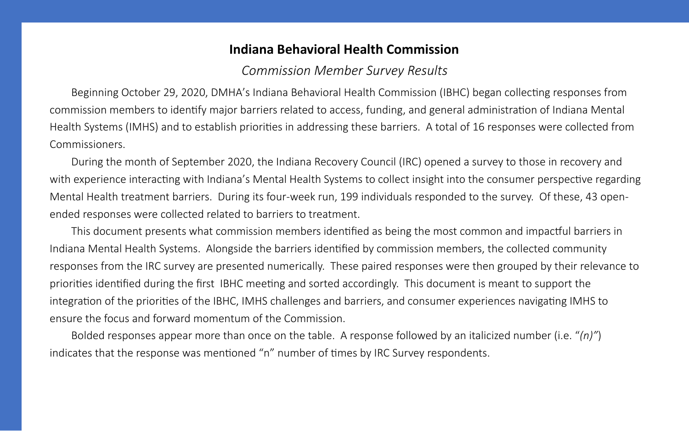# **Indiana Behavioral Health Commission**

Beginning October 29, 2020, DMHA's Indiana Behavioral Health Commission (IBHC) began collecting responses from commission members to identify major barriers related to access, funding, and general administration of Indiana Mental Health Systems (IMHS) and to establish priorities in addressing these barriers. A total of 16 responses were collected from Commissioners.

During the month of September 2020, the Indiana Recovery Council (IRC) opened a survey to those in recovery and with experience interacting with Indiana's Mental Health Systems to collect insight into the consumer perspective regarding Mental Health treatment barriers. During its four-week run, 199 individuals responded to the survey. Of these, 43 openended responses were collected related to barriers to treatment.

This document presents what commission members identified as being the most common and impactful barriers in Indiana Mental Health Systems. Alongside the barriers identified by commission members, the collected community responses from the IRC survey are presented numerically. These paired responses were then grouped by their relevance to priorities identified during the first IBHC meeting and sorted accordingly. This document is meant to support the integration of the priorities of the IBHC, IMHS challenges and barriers, and consumer experiences navigating IMHS to ensure the focus and forward momentum of the Commission.

Bolded responses appear more than once on the table. A response followed by an italicized number (i.e. "*(n)"*) indicates that the response was mentioned "n" number of times by IRC Survey respondents.

*Commission Member Survey Results*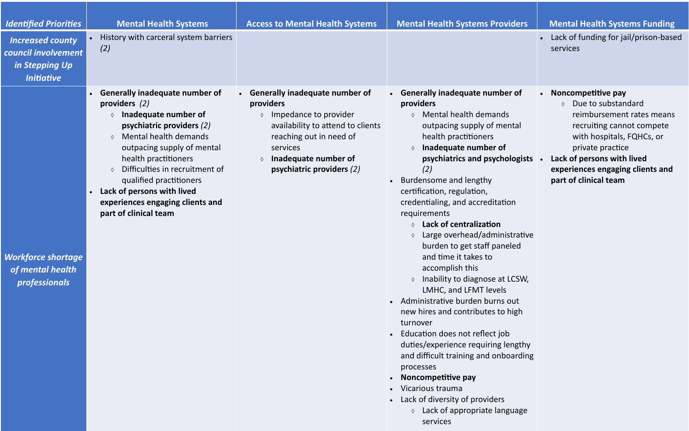• Lack of funding for jail/prison-based services

 $\Diamond$  Lack of appropriate language services

## **Mental Health Systems Funding**

| <b>Identified Priorities</b>                                                          | <b>Mental Health Systems</b>                                                                                                                                                                                                                                                                                                                                                                               | <b>Access to Mental Health Systems</b>                                                                                                                                                                                                                | <b>Mental Health Systems Providers</b>                                                                                                                                                                                                                                                                                                                                                                                                                                                                                                                                                                                                                                                                                                                                                                                                                                                                        |
|---------------------------------------------------------------------------------------|------------------------------------------------------------------------------------------------------------------------------------------------------------------------------------------------------------------------------------------------------------------------------------------------------------------------------------------------------------------------------------------------------------|-------------------------------------------------------------------------------------------------------------------------------------------------------------------------------------------------------------------------------------------------------|---------------------------------------------------------------------------------------------------------------------------------------------------------------------------------------------------------------------------------------------------------------------------------------------------------------------------------------------------------------------------------------------------------------------------------------------------------------------------------------------------------------------------------------------------------------------------------------------------------------------------------------------------------------------------------------------------------------------------------------------------------------------------------------------------------------------------------------------------------------------------------------------------------------|
| <b>Increased county</b><br>council involvement<br>in Stepping Up<br><b>Initiative</b> | History with carceral system barriers<br>$\bullet$<br>(2)                                                                                                                                                                                                                                                                                                                                                  |                                                                                                                                                                                                                                                       |                                                                                                                                                                                                                                                                                                                                                                                                                                                                                                                                                                                                                                                                                                                                                                                                                                                                                                               |
| <b>Workforce shortage</b><br>of mental health<br><i>professionals</i>                 | <b>Generally inadequate number of</b><br>$\bullet$<br>providers $(2)$<br>Inadequate number of<br>psychiatric providers (2)<br>Mental health demands<br>$\Diamond$<br>outpacing supply of mental<br>health practitioners<br>Difficulties in recruitment of<br>$\Diamond$<br>qualified practitioners<br>Lack of persons with lived<br>$\bullet$<br>experiences engaging clients and<br>part of clinical team | <b>Generally inadequate number of</b><br>$\bullet$<br>providers<br>Impedance to provider<br>$\Diamond$<br>availability to attend to clients<br>reaching out in need of<br>services<br>Inadequate number of<br>$\Diamond$<br>psychiatric providers (2) | <b>Generally inadequate number of</b><br>$\bullet$<br>providers<br>Mental health demands<br>$\Diamond$<br>outpacing supply of mental<br>health practitioners<br>Inadequate number of<br>$\Diamond$<br>psychiatrics and psychologists<br>(2)<br>Burdensome and lengthy<br>$\bullet$<br>certification, regulation,<br>credentialing, and accreditation<br>requirements<br><b>Lack of centralization</b><br>$\Diamond$<br>Large overhead/administrative<br>♦<br>burden to get staff paneled<br>and time it takes to<br>accomplish this<br>Inability to diagnose at LCSW,<br>$\Diamond$<br>LMHC, and LFMT levels<br>• Administrative burden burns out<br>new hires and contributes to high<br>turnover<br>Education does not reflect job<br>duties/experience requiring lengthy<br>and difficult training and onboarding<br>processes<br>Noncompetitive pay<br>Vicarious trauma<br>Lack of diversity of providers |

## • **Noncompetitive pay**

 Due to substandard reimbursement rates means recruiting cannot compete with hospitals, FQHCs, or private practice

## • **Lack of persons with lived experiences engaging clients and part of clinical team**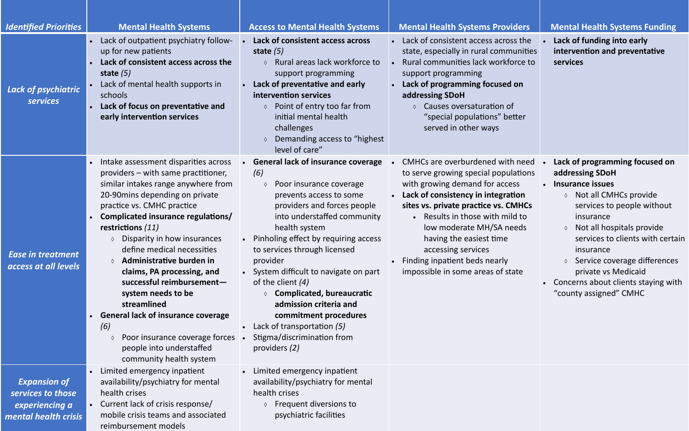• **Lack of funding into early intervention and preventative services** 

| <b>Identified Priorities</b>                                                       | <b>Mental Health Systems</b>                                                                                                                                                                                                                                                                                                                                                                                                                                                                                                                                                                                       | <b>Access to Mental Health Systems</b>                                                                                                                                                                                                                                                                                                                                                                                                                                                                                                        | <b>Mental Health Systems Providers</b>                                                                                                                                                                                                                                                                                                                                                                              |  |
|------------------------------------------------------------------------------------|--------------------------------------------------------------------------------------------------------------------------------------------------------------------------------------------------------------------------------------------------------------------------------------------------------------------------------------------------------------------------------------------------------------------------------------------------------------------------------------------------------------------------------------------------------------------------------------------------------------------|-----------------------------------------------------------------------------------------------------------------------------------------------------------------------------------------------------------------------------------------------------------------------------------------------------------------------------------------------------------------------------------------------------------------------------------------------------------------------------------------------------------------------------------------------|---------------------------------------------------------------------------------------------------------------------------------------------------------------------------------------------------------------------------------------------------------------------------------------------------------------------------------------------------------------------------------------------------------------------|--|
| <b>Lack of psychiatric</b><br><b>services</b>                                      | Lack of outpatient psychiatry follow-<br>up for new patients<br>Lack of consistent access across the<br>state $(5)$<br>Lack of mental health supports in<br>schools<br>Lack of focus on preventative and<br>early intervention services                                                                                                                                                                                                                                                                                                                                                                            | Lack of consistent access across<br>state $(5)$<br>Rural areas lack workforce to<br>support programming<br>Lack of preventative and early<br>intervention services<br>Point of entry too far from<br>initial mental health<br>challenges<br>Demanding access to "highest"<br>level of care"                                                                                                                                                                                                                                                   | Lack of consistent access across the<br>state, especially in rural communities<br>Rural communities lack workforce to<br>$\bullet$<br>support programming<br>Lack of programming focused on<br>addressing SDoH<br>Causes oversaturation of<br>"special populations" better<br>served in other ways                                                                                                                  |  |
| <b>Ease in treatment</b><br>access at all levels                                   | Intake assessment disparities across<br>providers – with same practitioner,<br>similar intakes range anywhere from<br>20-90 mins depending on private<br>practice vs. CMHC practice<br>Complicated insurance regulations/<br>restrictions (11)<br>Disparity in how insurances<br>$\Diamond$<br>define medical necessities<br>Administrative burden in<br>$\Diamond$<br>claims, PA processing, and<br>successful reimbursement-<br>system needs to be<br>streamlined<br><b>General lack of insurance coverage</b><br>(6)<br>Poor insurance coverage forces •<br>people into understaffed<br>community health system | <b>General lack of insurance coverage</b><br>$\bullet$<br>(6)<br>Poor insurance coverage<br>♦<br>prevents access to some<br>providers and forces people<br>into understaffed community<br>health system<br>Pinholing effect by requiring access<br>to services through licensed<br>provider<br>System difficult to navigate on part<br>of the client $(4)$<br><b>Complicated, bureaucratic</b><br>admission criteria and<br>commitment procedures<br>Lack of transportation (5)<br>$\bullet$<br>Stigma/discrimination from<br>providers $(2)$ | CMHCs are overburdened with need<br>to serve growing special populations<br>with growing demand for access<br>Lack of consistency in integration<br>$\bullet$<br>sites vs. private practice vs. CMHCs<br>Results in those with mild to<br>$\bullet$<br>low moderate MH/SA needs<br>having the easiest time<br>accessing services<br>Finding inpatient beds nearly<br>$\bullet$<br>impossible in some areas of state |  |
| <b>Expansion of</b><br>services to those<br>experiencing a<br>mental health crisis | Limited emergency inpatient<br>availability/psychiatry for mental<br>health crises<br>Current lack of crisis response/<br>mobile crisis teams and associated<br>reimbursement models                                                                                                                                                                                                                                                                                                                                                                                                                               | Limited emergency inpatient<br>availability/psychiatry for mental<br>health crises<br>Frequent diversions to<br>psychiatric facilities                                                                                                                                                                                                                                                                                                                                                                                                        |                                                                                                                                                                                                                                                                                                                                                                                                                     |  |

## **Mental Health Systems Funding**

# • **Lack of programming focused on addressing SDoH**

- **Insurance issues**
	- Not all CMHCs provide services to people without insurance
	- $\lozenge$  Not all hospitals provide services to clients with certain insurance
	- $\Diamond$  Service coverage differences private vs Medicaid
- Concerns about clients staying with "county assigned" CMHC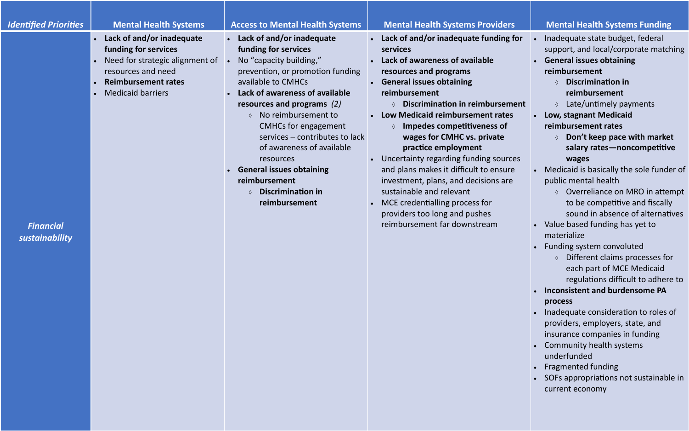### *Identified Priorities* **Mental Health Systems Access to Mental Health Systems Mental Health Systems Providers Mental Health Systems Funding**

| <b>Identified Priorities</b>       | <b>Mental Health Systems</b>                                                                                                                                                                                | <b>Access to Mental Health Systems</b>                                                                                                                                                                                                                                                                                                                                                                                                                          | <b>Mental Health Systems Providers</b>                                                                                                                                                                                                                                                                                                                                                                                                                                                                                                                                                                                  |  |
|------------------------------------|-------------------------------------------------------------------------------------------------------------------------------------------------------------------------------------------------------------|-----------------------------------------------------------------------------------------------------------------------------------------------------------------------------------------------------------------------------------------------------------------------------------------------------------------------------------------------------------------------------------------------------------------------------------------------------------------|-------------------------------------------------------------------------------------------------------------------------------------------------------------------------------------------------------------------------------------------------------------------------------------------------------------------------------------------------------------------------------------------------------------------------------------------------------------------------------------------------------------------------------------------------------------------------------------------------------------------------|--|
| <b>Financial</b><br>sustainability | Lack of and/or inadequate<br>$\bullet$<br>funding for services<br>Need for strategic alignment of<br>$\bullet$<br>resources and need<br><b>Reimbursement rates</b><br>$\bullet$<br><b>Medicaid barriers</b> | Lack of and/or inadequate<br>funding for services<br>No "capacity building,"<br>prevention, or promotion funding<br>available to CMHCs<br>Lack of awareness of available<br>resources and programs $(2)$<br>$\Diamond$ No reimbursement to<br><b>CMHCs for engagement</b><br>services - contributes to lack<br>of awareness of available<br>resources<br>• General issues obtaining<br>reimbursement<br><b>Discrimination in</b><br>$\Diamond$<br>reimbursement | Lack of and/or inadequate funding for<br>$\bullet$<br>services<br>Lack of awareness of available<br>resources and programs<br><b>General issues obtaining</b><br>reimbursement<br><b>Discrimination in reimbursement</b><br>$\Diamond$<br>Low Medicaid reimbursement rates<br>Impedes competitiveness of<br>wages for CMHC vs. private<br>practice employment<br>Uncertainty regarding funding sources<br>and plans makes it difficult to ensure<br>investment, plans, and decisions are<br>sustainable and relevant<br>MCE credentialling process for<br>providers too long and pushes<br>reimbursement far downstream |  |

• Inadequate state budget, federal support, and local/corporate matching • **General issues obtaining reimbursement**

- **Discrimination in reimbursement**
- $\lozenge$  Late/untimely payments
- **Low, stagnant Medicaid reimbursement rates** 
	- **Don't keep pace with market salary rates—noncompetitive wages**

• Medicaid is basically the sole funder of public mental health

 Overreliance on MRO in attempt to be competitive and fiscally sound in absence of alternatives

• Value based funding has yet to materialize

• Funding system convoluted

 Different claims processes for each part of MCE Medicaid regulations difficult to adhere to

### • **Inconsistent and burdensome PA process**

• Inadequate consideration to roles of providers, employers, state, and insurance companies in funding • Community health systems underfunded • Fragmented funding • SOFs appropriations not sustainable in current economy